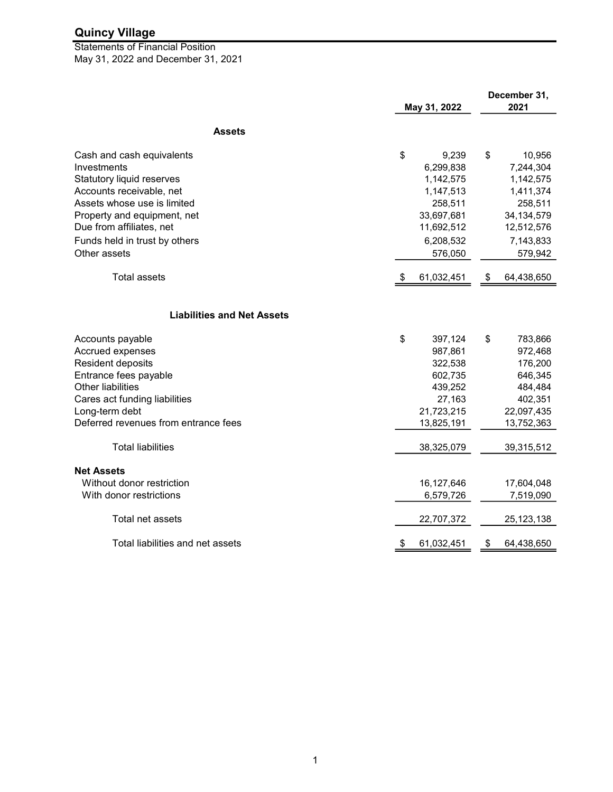May 31, 2022 and December 31, 2021 Statements of Financial Position

|                                      | May 31, 2022 |            | December 31,<br>2021 |  |
|--------------------------------------|--------------|------------|----------------------|--|
| <b>Assets</b>                        |              |            |                      |  |
| Cash and cash equivalents            | \$           | 9,239      | \$<br>10,956         |  |
| Investments                          |              | 6,299,838  | 7,244,304            |  |
| Statutory liquid reserves            |              | 1,142,575  | 1,142,575            |  |
| Accounts receivable, net             |              | 1,147,513  | 1,411,374            |  |
| Assets whose use is limited          |              | 258,511    | 258,511              |  |
| Property and equipment, net          |              | 33,697,681 | 34, 134, 579         |  |
| Due from affiliates, net             |              | 11,692,512 | 12,512,576           |  |
| Funds held in trust by others        |              | 6,208,532  | 7,143,833            |  |
| Other assets                         |              | 576,050    | 579,942              |  |
| <b>Total assets</b>                  | P.           | 61,032,451 | \$<br>64,438,650     |  |
| <b>Liabilities and Net Assets</b>    |              |            |                      |  |
| Accounts payable                     | \$           | 397,124    | \$<br>783,866        |  |
| Accrued expenses                     |              | 987,861    | 972,468              |  |
| Resident deposits                    |              | 322,538    | 176,200              |  |
| Entrance fees payable                |              | 602,735    | 646,345              |  |
| <b>Other liabilities</b>             |              | 439,252    | 484,484              |  |
| Cares act funding liabilities        |              | 27,163     | 402,351              |  |
| Long-term debt                       |              | 21,723,215 | 22,097,435           |  |
| Deferred revenues from entrance fees |              | 13,825,191 | 13,752,363           |  |
| <b>Total liabilities</b>             |              | 38,325,079 | 39,315,512           |  |
| <b>Net Assets</b>                    |              |            |                      |  |
| Without donor restriction            |              | 16,127,646 | 17,604,048           |  |
| With donor restrictions              |              | 6,579,726  | 7,519,090            |  |
| Total net assets                     |              | 22,707,372 | 25, 123, 138         |  |
| Total liabilities and net assets     | \$           | 61,032,451 | \$<br>64,438,650     |  |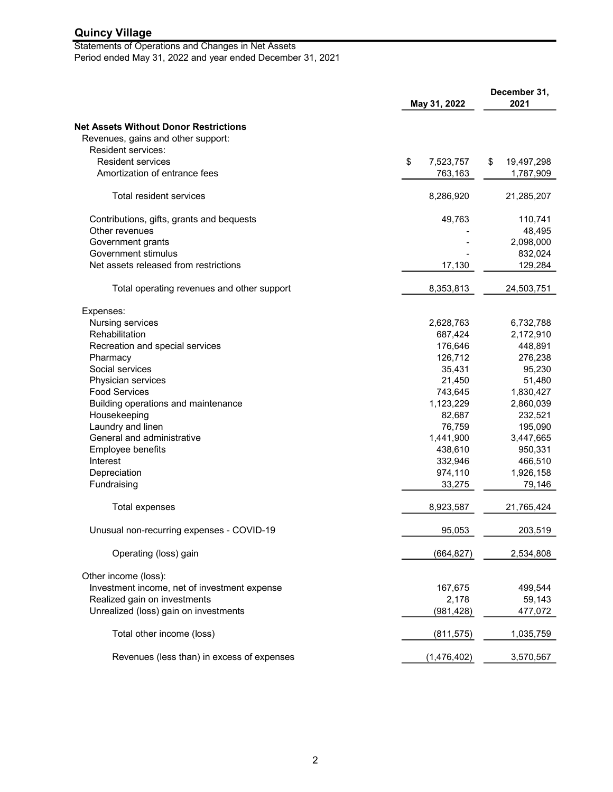Statements of Operations and Changes in Net Assets Period ended May 31, 2022 and year ended December 31, 2021

|                                              | May 31, 2022    |                  |
|----------------------------------------------|-----------------|------------------|
| <b>Net Assets Without Donor Restrictions</b> |                 |                  |
| Revenues, gains and other support:           |                 |                  |
| Resident services:                           |                 |                  |
| <b>Resident services</b>                     | \$<br>7,523,757 | \$<br>19,497,298 |
| Amortization of entrance fees                | 763,163         | 1,787,909        |
| Total resident services                      | 8,286,920       | 21,285,207       |
| Contributions, gifts, grants and bequests    | 49,763          | 110,741          |
| Other revenues                               |                 | 48,495           |
| Government grants                            |                 | 2,098,000        |
| Government stimulus                          |                 | 832,024          |
| Net assets released from restrictions        | 17,130          | 129,284          |
| Total operating revenues and other support   | 8,353,813       | 24,503,751       |
| Expenses:                                    |                 |                  |
| Nursing services                             | 2,628,763       | 6,732,788        |
| Rehabilitation                               | 687,424         | 2,172,910        |
| Recreation and special services              | 176,646         | 448,891          |
| Pharmacy                                     | 126,712         | 276,238          |
| Social services                              | 35,431          | 95,230           |
| Physician services                           | 21,450          | 51,480           |
| <b>Food Services</b>                         | 743,645         | 1,830,427        |
| Building operations and maintenance          | 1,123,229       | 2,860,039        |
| Housekeeping                                 | 82,687          | 232,521          |
| Laundry and linen                            | 76,759          | 195,090          |
| General and administrative                   | 1,441,900       | 3,447,665        |
| Employee benefits                            | 438,610         | 950,331          |
| Interest                                     | 332,946         | 466,510          |
| Depreciation                                 | 974,110         | 1,926,158        |
| Fundraising                                  | 33,275          | 79,146           |
| Total expenses                               | 8,923,587       | 21,765,424       |
| Unusual non-recurring expenses - COVID-19    | 95,053          | 203,519          |
| Operating (loss) gain                        | (664, 827)      | 2,534,808        |
| Other income (loss):                         |                 |                  |
| Investment income, net of investment expense | 167,675         | 499,544          |
| Realized gain on investments                 | 2,178           | 59,143           |
| Unrealized (loss) gain on investments        | (981, 428)      | 477,072          |
| Total other income (loss)                    | (811, 575)      | 1,035,759        |
| Revenues (less than) in excess of expenses   | (1,476,402)     | 3,570,567        |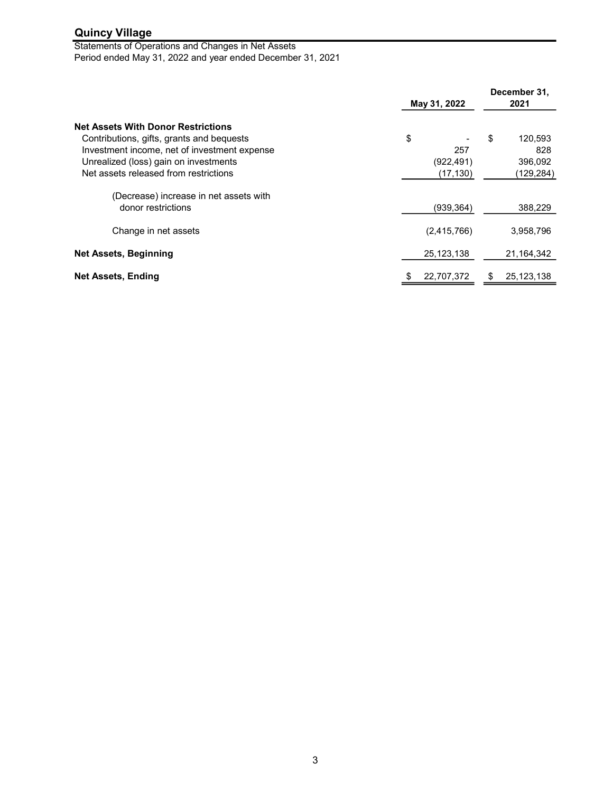Statements of Operations and Changes in Net Assets Period ended May 31, 2022 and year ended December 31, 2021

|                                                                                                                                                                                                                          | May 31, 2022                         | December 31,<br>2021                         |  |
|--------------------------------------------------------------------------------------------------------------------------------------------------------------------------------------------------------------------------|--------------------------------------|----------------------------------------------|--|
| <b>Net Assets With Donor Restrictions</b><br>Contributions, gifts, grants and bequests<br>Investment income, net of investment expense<br>Unrealized (loss) gain on investments<br>Net assets released from restrictions | \$<br>257<br>(922, 491)<br>(17, 130) | \$<br>120,593<br>828<br>396,092<br>(129,284) |  |
| (Decrease) increase in net assets with<br>donor restrictions                                                                                                                                                             | (939, 364)                           | 388,229                                      |  |
| Change in net assets                                                                                                                                                                                                     | (2,415,766)                          | 3,958,796                                    |  |
| <b>Net Assets, Beginning</b>                                                                                                                                                                                             | 25, 123, 138                         | 21,164,342                                   |  |
| <b>Net Assets, Ending</b>                                                                                                                                                                                                | 22,707,372<br>\$                     | \$<br>25,123,138                             |  |